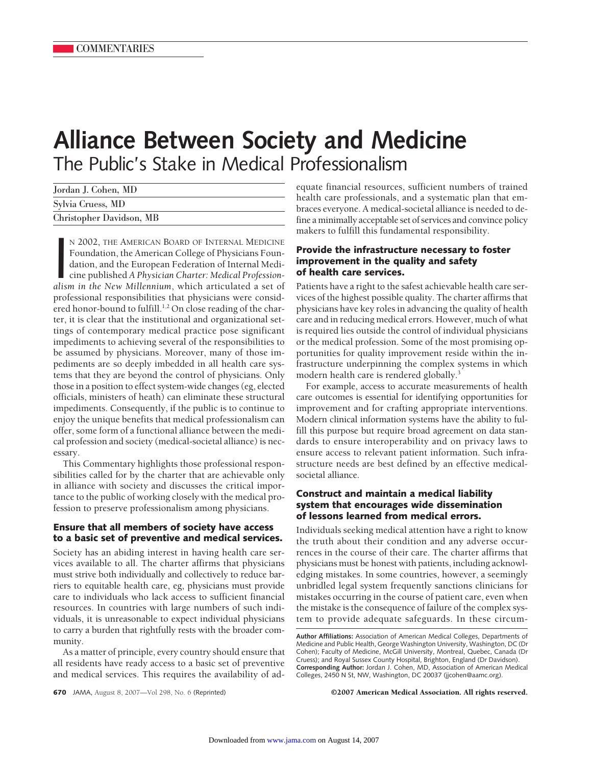## **Alliance Between Society and Medicine** The Public's Stake in Medical Professionalism

| Jordan J. Cohen, MD      |  |
|--------------------------|--|
| Sylvia Cruess, MD        |  |
| Christopher Davidson, MB |  |

<sup>N</sup> 2002, THE AMERICAN BOARD OF INTERNAL MEDICINE<br>Foundation, the American College of Physicians Foundation, and the European Federation of Internal Medicine published A Physician Charter: Medical Professionalism in the Ne N 2002, THE AMERICAN BOARD OF INTERNAL MEDICINE Foundation, the American College of Physicians Foundation, and the European Federation of Internal Medicine published *A Physician Charter: Medical Profession*professional responsibilities that physicians were considered honor-bound to fulfill.<sup>1,2</sup> On close reading of the charter, it is clear that the institutional and organizational settings of contemporary medical practice pose significant impediments to achieving several of the responsibilities to be assumed by physicians. Moreover, many of those impediments are so deeply imbedded in all health care systems that they are beyond the control of physicians. Only those in a position to effect system-wide changes (eg, elected officials, ministers of heath) can eliminate these structural impediments. Consequently, if the public is to continue to enjoy the unique benefits that medical professionalism can offer, some form of a functional alliance between the medical profession and society (medical-societal alliance) is necessary.

This Commentary highlights those professional responsibilities called for by the charter that are achievable only in alliance with society and discusses the critical importance to the public of working closely with the medical profession to preserve professionalism among physicians.

## **Ensure that all members of society have access to a basic set of preventive and medical services.**

Society has an abiding interest in having health care services available to all. The charter affirms that physicians must strive both individually and collectively to reduce barriers to equitable health care, eg, physicians must provide care to individuals who lack access to sufficient financial resources. In countries with large numbers of such individuals, it is unreasonable to expect individual physicians to carry a burden that rightfully rests with the broader community.

As a matter of principle, every country should ensure that all residents have ready access to a basic set of preventive and medical services. This requires the availability of adequate financial resources, sufficient numbers of trained health care professionals, and a systematic plan that embraces everyone. A medical-societal alliance is needed to define a minimally acceptable set of services and convince policy makers to fulfill this fundamental responsibility.

## **Provide the infrastructure necessary to foster improvement in the quality and safety of health care services.**

Patients have a right to the safest achievable health care services of the highest possible quality. The charter affirms that physicians have key roles in advancing the quality of health care and in reducing medical errors. However, much of what is required lies outside the control of individual physicians or the medical profession. Some of the most promising opportunities for quality improvement reside within the infrastructure underpinning the complex systems in which modern health care is rendered globally.<sup>3</sup>

For example, access to accurate measurements of health care outcomes is essential for identifying opportunities for improvement and for crafting appropriate interventions. Modern clinical information systems have the ability to fulfill this purpose but require broad agreement on data standards to ensure interoperability and on privacy laws to ensure access to relevant patient information. Such infrastructure needs are best defined by an effective medicalsocietal alliance.

## **Construct and maintain a medical liability system that encourages wide dissemination of lessons learned from medical errors.**

Individuals seeking medical attention have a right to know the truth about their condition and any adverse occurrences in the course of their care. The charter affirms that physicians must be honest with patients, including acknowledging mistakes. In some countries, however, a seemingly unbridled legal system frequently sanctions clinicians for mistakes occurring in the course of patient care, even when the mistake is the consequence of failure of the complex system to provide adequate safeguards. In these circum-

**670** JAMA, August 8, 2007—Vol 298, No. 6 (Reprinted) ©2007 American Medical Association. All rights reserved.

**Author Affiliations:** Association of American Medical Colleges, Departments of Medicine and Public Health, George Washington University, Washington, DC (Dr Cohen); Faculty of Medicine, McGill University, Montreal, Quebec, Canada (Dr Cruess); and Royal Sussex County Hospital, Brighton, England (Dr Davidson). **Corresponding Author:** Jordan J. Cohen, MD, Association of American Medical Colleges, 2450 N St, NW, Washington, DC 20037 (jjcohen@aamc.org).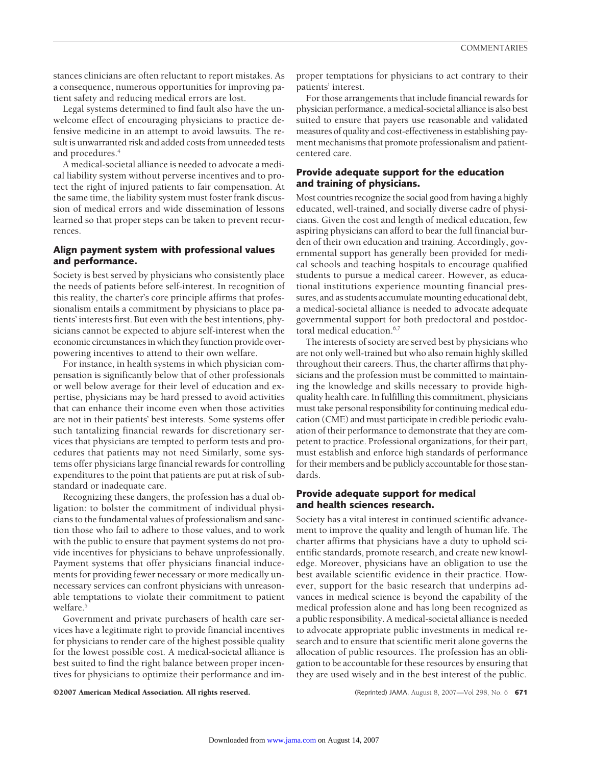stances clinicians are often reluctant to report mistakes. As a consequence, numerous opportunities for improving patient safety and reducing medical errors are lost.

Legal systems determined to find fault also have the unwelcome effect of encouraging physicians to practice defensive medicine in an attempt to avoid lawsuits. The result is unwarranted risk and added costs from unneeded tests and procedures.4

A medical-societal alliance is needed to advocate a medical liability system without perverse incentives and to protect the right of injured patients to fair compensation. At the same time, the liability system must foster frank discussion of medical errors and wide dissemination of lessons learned so that proper steps can be taken to prevent recurrences.

## **Align payment system with professional values and performance.**

Society is best served by physicians who consistently place the needs of patients before self-interest. In recognition of this reality, the charter's core principle affirms that professionalism entails a commitment by physicians to place patients' interests first. But even with the best intentions, physicians cannot be expected to abjure self-interest when the economic circumstances in which they function provide overpowering incentives to attend to their own welfare.

For instance, in health systems in which physician compensation is significantly below that of other professionals or well below average for their level of education and expertise, physicians may be hard pressed to avoid activities that can enhance their income even when those activities are not in their patients' best interests. Some systems offer such tantalizing financial rewards for discretionary services that physicians are tempted to perform tests and procedures that patients may not need Similarly, some systems offer physicians large financial rewards for controlling expenditures to the point that patients are put at risk of substandard or inadequate care.

Recognizing these dangers, the profession has a dual obligation: to bolster the commitment of individual physicians to the fundamental values of professionalism and sanction those who fail to adhere to those values, and to work with the public to ensure that payment systems do not provide incentives for physicians to behave unprofessionally. Payment systems that offer physicians financial inducements for providing fewer necessary or more medically unnecessary services can confront physicians with unreasonable temptations to violate their commitment to patient welfare.<sup>5</sup>

Government and private purchasers of health care services have a legitimate right to provide financial incentives for physicians to render care of the highest possible quality for the lowest possible cost. A medical-societal alliance is best suited to find the right balance between proper incentives for physicians to optimize their performance and improper temptations for physicians to act contrary to their patients' interest.

For those arrangements that include financial rewards for physician performance, a medical-societal alliance is also best suited to ensure that payers use reasonable and validated measures of quality and cost-effectiveness in establishing payment mechanisms that promote professionalism and patientcentered care.

## **Provide adequate support for the education and training of physicians.**

Most countries recognize the social good from having a highly educated, well-trained, and socially diverse cadre of physicians. Given the cost and length of medical education, few aspiring physicians can afford to bear the full financial burden of their own education and training. Accordingly, governmental support has generally been provided for medical schools and teaching hospitals to encourage qualified students to pursue a medical career. However, as educational institutions experience mounting financial pressures, and as students accumulate mounting educational debt, a medical-societal alliance is needed to advocate adequate governmental support for both predoctoral and postdoctoral medical education.<sup>6,7</sup>

The interests of society are served best by physicians who are not only well-trained but who also remain highly skilled throughout their careers. Thus, the charter affirms that physicians and the profession must be committed to maintaining the knowledge and skills necessary to provide highquality health care. In fulfilling this commitment, physicians must take personal responsibility for continuing medical education (CME) and must participate in credible periodic evaluation of their performance to demonstrate that they are competent to practice. Professional organizations, for their part, must establish and enforce high standards of performance for their members and be publicly accountable for those standards.

## **Provide adequate support for medical and health sciences research.**

Society has a vital interest in continued scientific advancement to improve the quality and length of human life. The charter affirms that physicians have a duty to uphold scientific standards, promote research, and create new knowledge. Moreover, physicians have an obligation to use the best available scientific evidence in their practice. However, support for the basic research that underpins advances in medical science is beyond the capability of the medical profession alone and has long been recognized as a public responsibility. A medical-societal alliance is needed to advocate appropriate public investments in medical research and to ensure that scientific merit alone governs the allocation of public resources. The profession has an obligation to be accountable for these resources by ensuring that they are used wisely and in the best interest of the public.

©2007 American Medical Association. All rights reserved. (Reprinted) JAMA, August 8, 2007—Vol 298, No. 6 **671**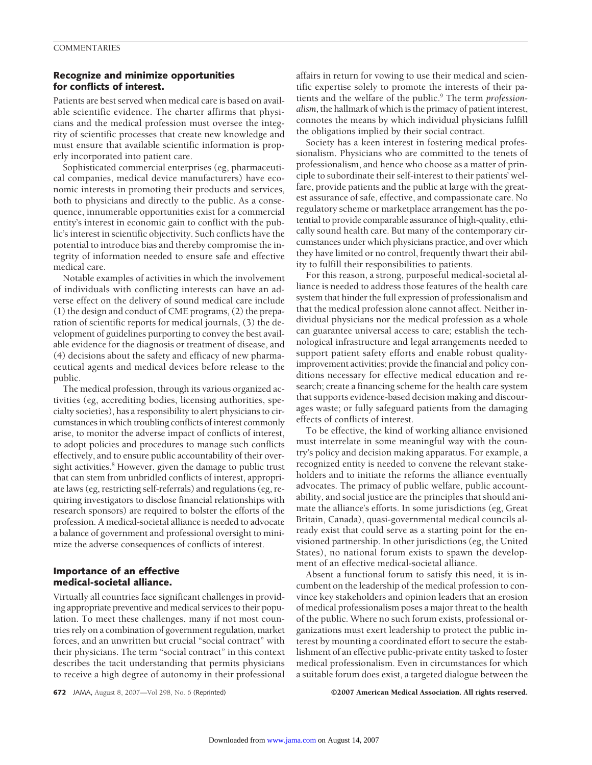#### COMMENTARIES

## **Recognize and minimize opportunities for conflicts of interest.**

Patients are best served when medical care is based on available scientific evidence. The charter affirms that physicians and the medical profession must oversee the integrity of scientific processes that create new knowledge and must ensure that available scientific information is properly incorporated into patient care.

Sophisticated commercial enterprises (eg, pharmaceutical companies, medical device manufacturers) have economic interests in promoting their products and services, both to physicians and directly to the public. As a consequence, innumerable opportunities exist for a commercial entity's interest in economic gain to conflict with the public's interest in scientific objectivity. Such conflicts have the potential to introduce bias and thereby compromise the integrity of information needed to ensure safe and effective medical care.

Notable examples of activities in which the involvement of individuals with conflicting interests can have an adverse effect on the delivery of sound medical care include (1) the design and conduct of CME programs, (2) the preparation of scientific reports for medical journals, (3) the development of guidelines purporting to convey the best available evidence for the diagnosis or treatment of disease, and (4) decisions about the safety and efficacy of new pharmaceutical agents and medical devices before release to the public.

The medical profession, through its various organized activities (eg, accrediting bodies, licensing authorities, specialty societies), has a responsibility to alert physicians to circumstances in which troubling conflicts of interest commonly arise, to monitor the adverse impact of conflicts of interest, to adopt policies and procedures to manage such conflicts effectively, and to ensure public accountability of their oversight activities.<sup>8</sup> However, given the damage to public trust that can stem from unbridled conflicts of interest, appropriate laws (eg, restricting self-referrals) and regulations (eg, requiring investigators to disclose financial relationships with research sponsors) are required to bolster the efforts of the profession. A medical-societal alliance is needed to advocate a balance of government and professional oversight to minimize the adverse consequences of conflicts of interest.

## **Importance of an effective medical-societal alliance.**

Virtually all countries face significant challenges in providing appropriate preventive and medical services to their population. To meet these challenges, many if not most countries rely on a combination of government regulation, market forces, and an unwritten but crucial "social contract" with their physicians. The term "social contract" in this context describes the tacit understanding that permits physicians to receive a high degree of autonomy in their professional

affairs in return for vowing to use their medical and scientific expertise solely to promote the interests of their patients and the welfare of the public.9 The term *professionalism*, the hallmark of which is the primacy of patient interest, connotes the means by which individual physicians fulfill the obligations implied by their social contract.

Society has a keen interest in fostering medical professionalism. Physicians who are committed to the tenets of professionalism, and hence who choose as a matter of principle to subordinate their self-interest to their patients' welfare, provide patients and the public at large with the greatest assurance of safe, effective, and compassionate care. No regulatory scheme or marketplace arrangement has the potential to provide comparable assurance of high-quality, ethically sound health care. But many of the contemporary circumstances under which physicians practice, and over which they have limited or no control, frequently thwart their ability to fulfill their responsibilities to patients.

For this reason, a strong, purposeful medical-societal alliance is needed to address those features of the health care system that hinder the full expression of professionalism and that the medical profession alone cannot affect. Neither individual physicians nor the medical profession as a whole can guarantee universal access to care; establish the technological infrastructure and legal arrangements needed to support patient safety efforts and enable robust qualityimprovement activities; provide the financial and policy conditions necessary for effective medical education and research; create a financing scheme for the health care system that supports evidence-based decision making and discourages waste; or fully safeguard patients from the damaging effects of conflicts of interest.

To be effective, the kind of working alliance envisioned must interrelate in some meaningful way with the country's policy and decision making apparatus. For example, a recognized entity is needed to convene the relevant stakeholders and to initiate the reforms the alliance eventually advocates. The primacy of public welfare, public accountability, and social justice are the principles that should animate the alliance's efforts. In some jurisdictions (eg, Great Britain, Canada), quasi-governmental medical councils already exist that could serve as a starting point for the envisioned partnership. In other jurisdictions (eg, the United States), no national forum exists to spawn the development of an effective medical-societal alliance.

Absent a functional forum to satisfy this need, it is incumbent on the leadership of the medical profession to convince key stakeholders and opinion leaders that an erosion of medical professionalism poses a major threat to the health of the public. Where no such forum exists, professional organizations must exert leadership to protect the public interest by mounting a coordinated effort to secure the establishment of an effective public-private entity tasked to foster medical professionalism. Even in circumstances for which a suitable forum does exist, a targeted dialogue between the

**672** JAMA, August 8, 2007—Vol 298, No. 6 (Reprinted) ©2007 American Medical Association. All rights reserved.